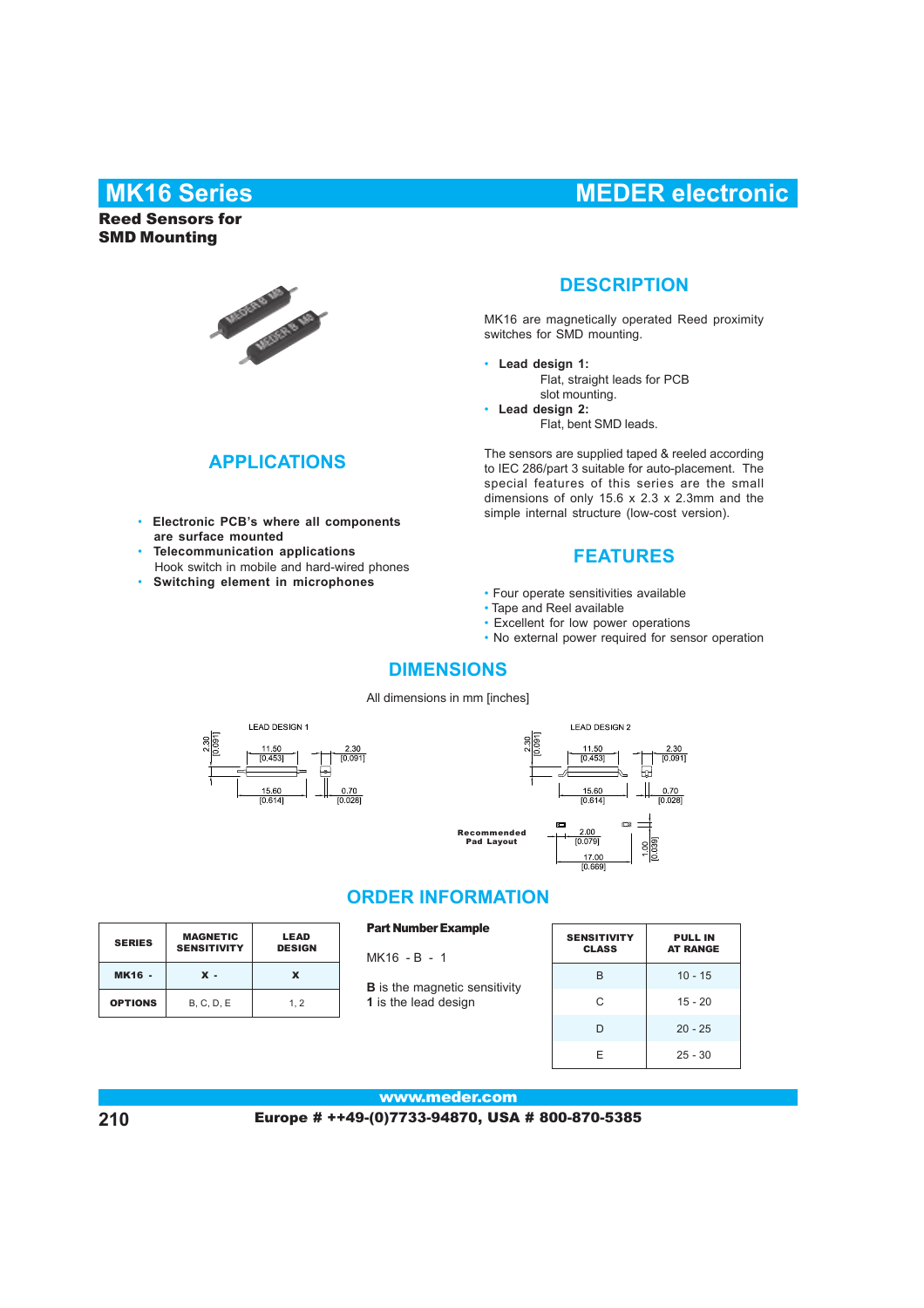# **MK16 Series MEDER electronic**

### Reed Sensors for SMD Mounting



### **APPLICATIONS**

- simple internal structure (low-cost version). • **Electronic PCB's where all components are surface mounted**
- • **Telecommunication applications** Hook switch in mobile and hard-wired phones
- • **Switching element in microphones**

### **DESCRIPTION**

MK16 are magnetically operated Reed proximity switches for SMD mounting.

- **Lead design 1:** Flat, straight leads for PCB slot mounting.
- **Lead design 2:** Flat, bent SMD leads.

The sensors are supplied taped & reeled according to IEC 286/part 3 suitable for auto-placement. The special features of this series are the small dimensions of only 15.6 x 2.3 x 2.3mm and the

### **FEATURES**

- Four operate sensitivities available
- Tape and Reel available
- Excellent for low power operations
- No external power required for sensor operation

### **DIMENSIONS**

All dimensions in mm [inches]





### **ORDER INFORMATION**

| <b>SERIES</b>  | <b>MAGNETIC</b><br><b>SENSITIVITY</b> | <b>LEAD</b><br><b>DESIGN</b> |
|----------------|---------------------------------------|------------------------------|
| <b>MK16 -</b>  | $\mathbf x$ .                         | x                            |
| <b>OPTIONS</b> | <b>B. C. D. E</b>                     | 1.2                          |

#### Part Number Example

- MK16 B 1
- **B** is the magnetic sensitivity **1** is the lead design

| <b>SENSITIVITY</b><br><b>CLASS</b> | <b>PULL IN</b><br><b>AT RANGE</b> |  |  |  |
|------------------------------------|-----------------------------------|--|--|--|
| B                                  | $10 - 15$                         |  |  |  |
| C                                  | $15 - 20$                         |  |  |  |
| D                                  | $20 - 25$                         |  |  |  |
| F                                  | $25 - 30$                         |  |  |  |

#### www.meder.com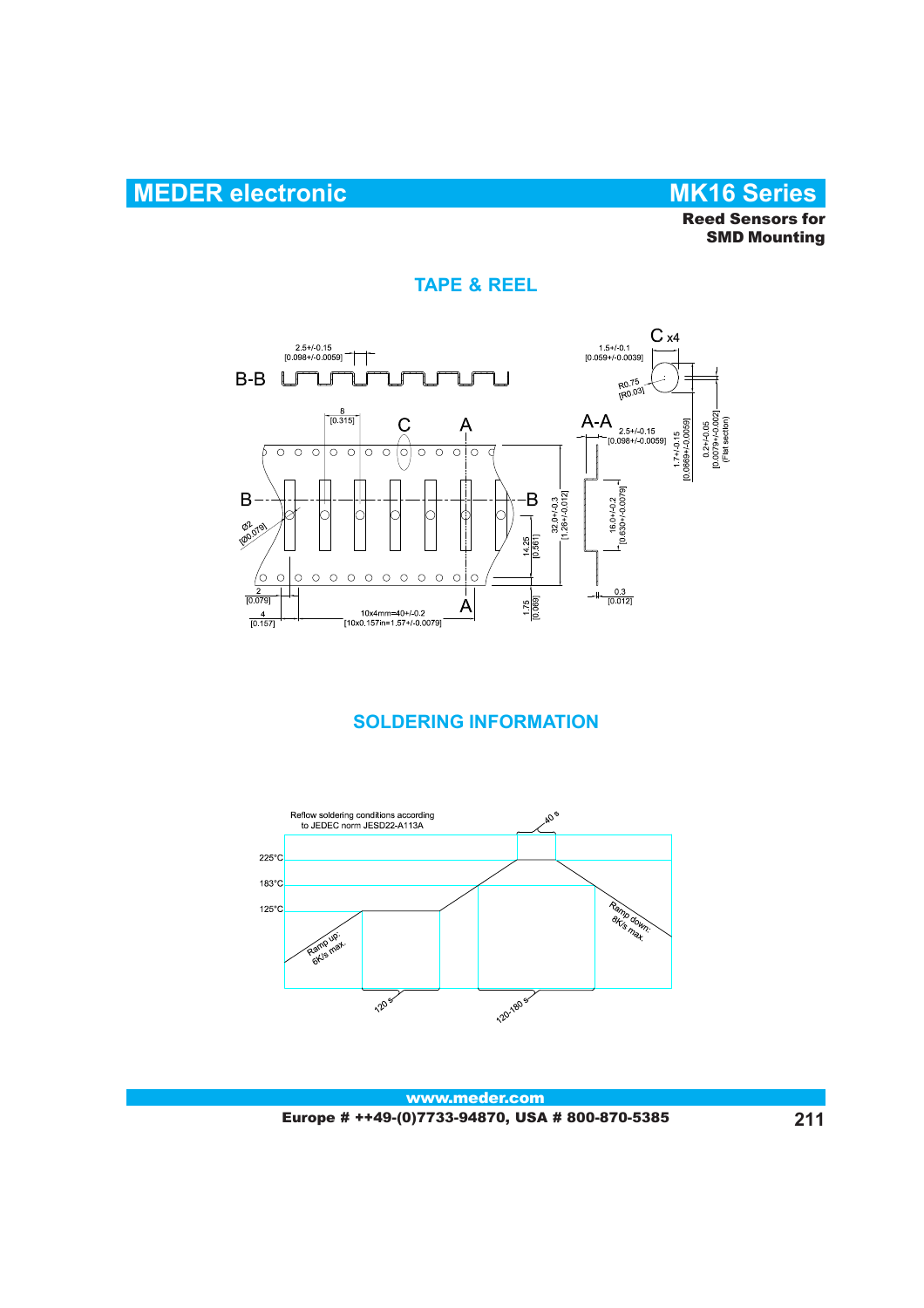# **MEDER electronic MK16 Series**

Reed Sensors for SMD Mounting

### **TAPE & REEL**



## **SOLDERING INFORMATION**